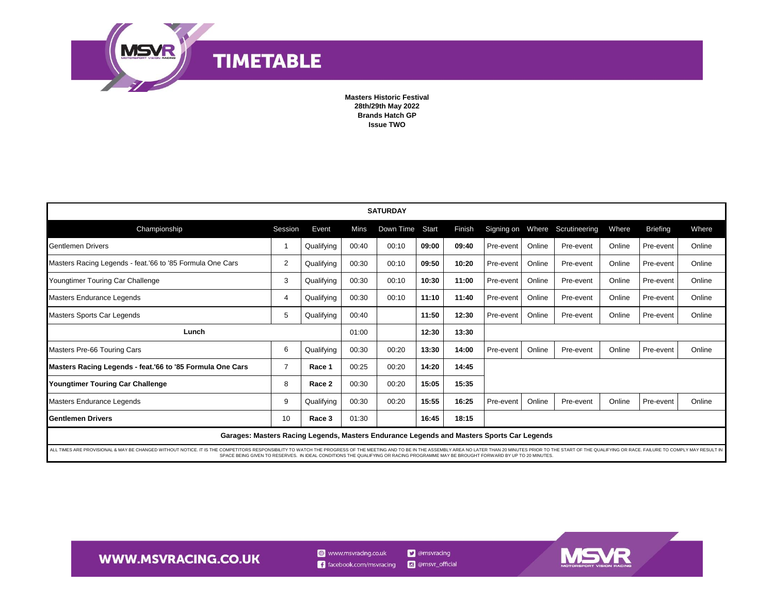

**Masters Historic Festival** 28th/29th May 2022 **Brands Hatch GP Issue TWO** 

| <b>SATURDAY</b>                                                                                                                                                                                                                                                                                                                                                    |                |            |       |           |       |        |           |        |                                |        |                 |        |
|--------------------------------------------------------------------------------------------------------------------------------------------------------------------------------------------------------------------------------------------------------------------------------------------------------------------------------------------------------------------|----------------|------------|-------|-----------|-------|--------|-----------|--------|--------------------------------|--------|-----------------|--------|
| Championship                                                                                                                                                                                                                                                                                                                                                       | Session        | Event      | Mins  | Down Time | Start | Finish |           |        | Signing on Where Scrutineering | Where  | <b>Briefing</b> | Where  |
| <b>Gentlemen Drivers</b>                                                                                                                                                                                                                                                                                                                                           |                | Qualifying | 00:40 | 00:10     | 09:00 | 09:40  | Pre-event | Online | Pre-event                      | Online | Pre-event       | Online |
| Masters Racing Legends - feat.'66 to '85 Formula One Cars                                                                                                                                                                                                                                                                                                          | 2              | Qualifying | 00:30 | 00:10     | 09:50 | 10:20  | Pre-event | Online | Pre-event                      | Online | Pre-event       | Online |
| Youngtimer Touring Car Challenge                                                                                                                                                                                                                                                                                                                                   | 3              | Qualifying | 00:30 | 00:10     | 10:30 | 11:00  | Pre-event | Online | Pre-event                      | Online | Pre-event       | Online |
| Masters Endurance Legends                                                                                                                                                                                                                                                                                                                                          | $\overline{4}$ | Qualifying | 00:30 | 00:10     | 11:10 | 11:40  | Pre-event | Online | Pre-event                      | Online | Pre-event       | Online |
| Masters Sports Car Legends                                                                                                                                                                                                                                                                                                                                         | 5              | Qualifying | 00:40 |           | 11:50 | 12:30  | Pre-event | Online | Pre-event                      | Online | Pre-event       | Online |
| Lunch                                                                                                                                                                                                                                                                                                                                                              |                |            | 01:00 |           | 12:30 | 13:30  |           |        |                                |        |                 |        |
| Masters Pre-66 Touring Cars                                                                                                                                                                                                                                                                                                                                        | 6              | Qualifying | 00:30 | 00:20     | 13:30 | 14:00  | Pre-event | Online | Pre-event                      | Online | Pre-event       | Online |
| Masters Racing Legends - feat.'66 to '85 Formula One Cars                                                                                                                                                                                                                                                                                                          | $\overline{7}$ | Race 1     | 00:25 | 00:20     | 14:20 | 14:45  |           |        |                                |        |                 |        |
| Youngtimer Touring Car Challenge                                                                                                                                                                                                                                                                                                                                   | 8              | Race 2     | 00:30 | 00:20     | 15:05 | 15:35  |           |        |                                |        |                 |        |
| Masters Endurance Legends                                                                                                                                                                                                                                                                                                                                          | 9              | Qualifying | 00:30 | 00:20     | 15:55 | 16:25  | Pre-event | Online | Pre-event                      | Online | Pre-event       | Online |
| <b>Gentlemen Drivers</b>                                                                                                                                                                                                                                                                                                                                           | 10             | Race 3     | 01:30 |           | 16:45 | 18:15  |           |        |                                |        |                 |        |
| Garages: Masters Racing Legends, Masters Endurance Legends and Masters Sports Car Legends                                                                                                                                                                                                                                                                          |                |            |       |           |       |        |           |        |                                |        |                 |        |
| ALL TIMES ARE PROVISIONAL & MAY BE CHANGED WITHOUT NOTICE. IT IS THE COMPETITORS RESPONSIBILITY TO WATCH THE PROGRESS OF THE MEETING AND TO BE IN THE ASSEMBLY AREA NO LATER THAN 20 MINUTES PRIOR TO THE START OF THE QUALIFY<br>SPACE BEING GIVEN TO RESERVES. IN IDEAL CONDITIONS THE QUALIFYING OR RACING PROGRAMME MAY BE BROUGHT FORWARD BY UP TO 20 MINUTES |                |            |       |           |       |        |           |        |                                |        |                 |        |

**WWW.MSVRACING.CO.UK** 

www.msvracing.co.uk  $\left| \right|$  facebook.com/msvracing

**D** @msvracing c @msvr\_official MS